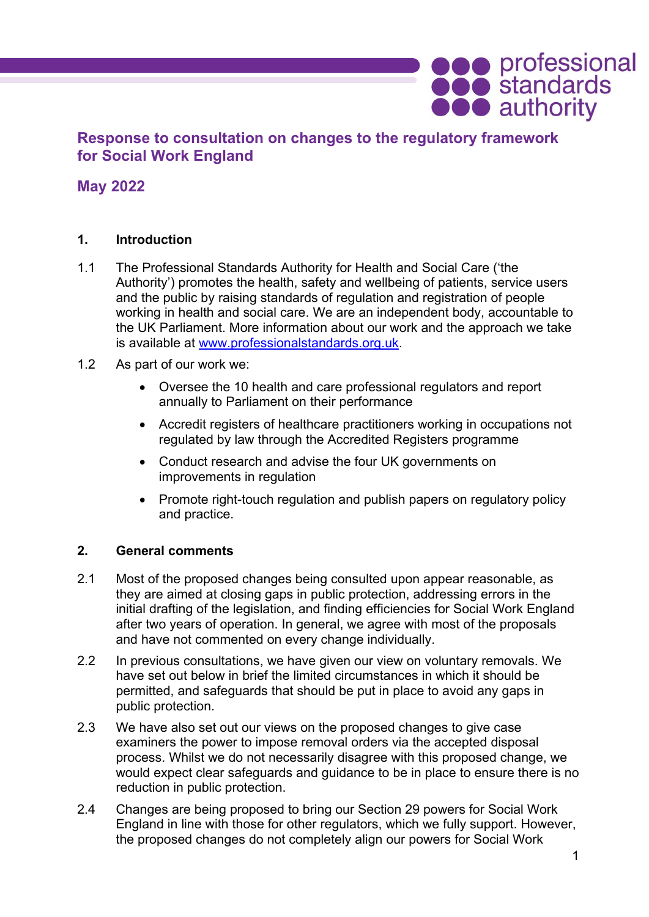# **Response to consultation on changes to the regulatory framework for Social Work England**

# **May 2022**

## **1. Introduction**

- 1.1 The Professional Standards Authority for Health and Social Care ('the Authority') promotes the health, safety and wellbeing of patients, service users and the public by raising standards of regulation and registration of people working in health and social care. We are an independent body, accountable to the UK Parliament. More information about our work and the approach we take is available at [www.professionalstandards.org.uk.](http://www.professionalstandards.org.uk/)
- 1.2 As part of our work we:
	- Oversee the 10 health and care professional regulators and report annually to Parliament on their performance
	- Accredit registers of healthcare practitioners working in occupations not regulated by law through the Accredited Registers programme
	- Conduct research and advise the four UK governments on improvements in regulation
	- Promote right-touch regulation and publish papers on regulatory policy and practice.

### **2. General comments**

- 2.1 Most of the proposed changes being consulted upon appear reasonable, as they are aimed at closing gaps in public protection, addressing errors in the initial drafting of the legislation, and finding efficiencies for Social Work England after two years of operation. In general, we agree with most of the proposals and have not commented on every change individually.
- 2.2 In previous consultations, we have given our view on voluntary removals. We have set out below in brief the limited circumstances in which it should be permitted, and safeguards that should be put in place to avoid any gaps in public protection.
- 2.3 We have also set out our views on the proposed changes to give case examiners the power to impose removal orders via the accepted disposal process. Whilst we do not necessarily disagree with this proposed change, we would expect clear safeguards and guidance to be in place to ensure there is no reduction in public protection.
- 2.4 Changes are being proposed to bring our Section 29 powers for Social Work England in line with those for other regulators, which we fully support. However, the proposed changes do not completely align our powers for Social Work

**ODO** professional<br> **ODO** authority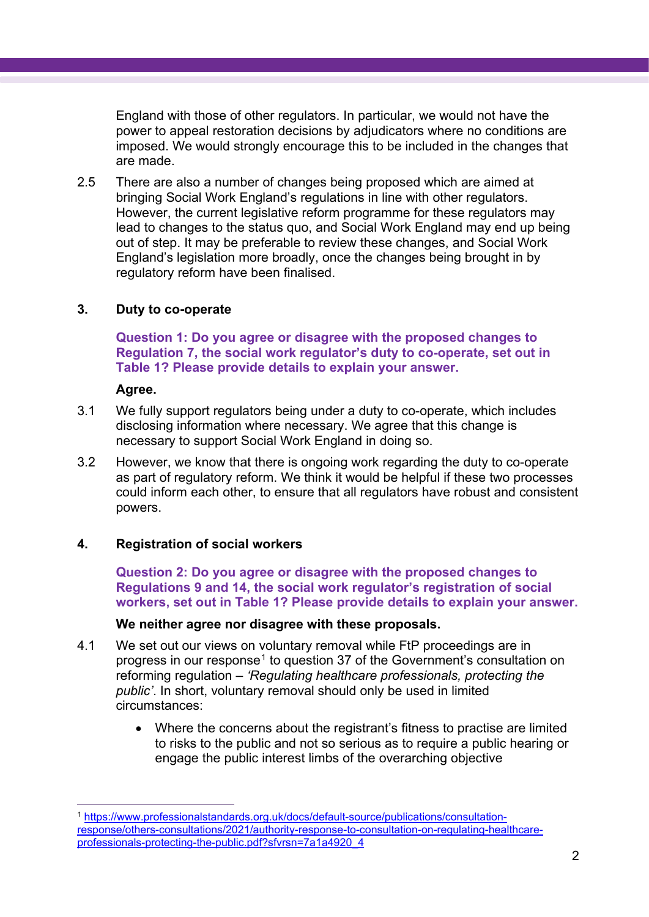England with those of other regulators. In particular, we would not have the power to appeal restoration decisions by adjudicators where no conditions are imposed. We would strongly encourage this to be included in the changes that are made.

2.5 There are also a number of changes being proposed which are aimed at bringing Social Work England's regulations in line with other regulators. However, the current legislative reform programme for these regulators may lead to changes to the status quo, and Social Work England may end up being out of step. It may be preferable to review these changes, and Social Work England's legislation more broadly, once the changes being brought in by regulatory reform have been finalised.

### **3. Duty to co-operate**

**Question 1: Do you agree or disagree with the proposed changes to Regulation 7, the social work regulator's duty to co-operate, set out in Table 1? Please provide details to explain your answer.**

#### **Agree.**

- 3.1 We fully support regulators being under a duty to co-operate, which includes disclosing information where necessary. We agree that this change is necessary to support Social Work England in doing so.
- 3.2 However, we know that there is ongoing work regarding the duty to co-operate as part of regulatory reform. We think it would be helpful if these two processes could inform each other, to ensure that all regulators have robust and consistent powers.

### **4. Registration of social workers**

**Question 2: Do you agree or disagree with the proposed changes to Regulations 9 and 14, the social work regulator's registration of social workers, set out in Table 1? Please provide details to explain your answer.**

#### **We neither agree nor disagree with these proposals.**

- 4.1 We set out our views on voluntary removal while FtP proceedings are in progress in our response<sup>[1](#page-1-0)</sup> to question 37 of the Government's consultation on reforming regulation – *'Regulating healthcare professionals, protecting the public'*. In short, voluntary removal should only be used in limited circumstances:
	- Where the concerns about the registrant's fitness to practise are limited to risks to the public and not so serious as to require a public hearing or engage the public interest limbs of the overarching objective

<span id="page-1-0"></span><sup>1</sup> [https://www.professionalstandards.org.uk/docs/default-source/publications/consultation](https://www.professionalstandards.org.uk/docs/default-source/publications/consultation-response/others-consultations/2021/authority-response-to-consultation-on-regulating-healthcare-professionals-protecting-the-public.pdf?sfvrsn=7a1a4920_4)[response/others-consultations/2021/authority-response-to-consultation-on-regulating-healthcare](https://www.professionalstandards.org.uk/docs/default-source/publications/consultation-response/others-consultations/2021/authority-response-to-consultation-on-regulating-healthcare-professionals-protecting-the-public.pdf?sfvrsn=7a1a4920_4)[professionals-protecting-the-public.pdf?sfvrsn=7a1a4920\\_4](https://www.professionalstandards.org.uk/docs/default-source/publications/consultation-response/others-consultations/2021/authority-response-to-consultation-on-regulating-healthcare-professionals-protecting-the-public.pdf?sfvrsn=7a1a4920_4)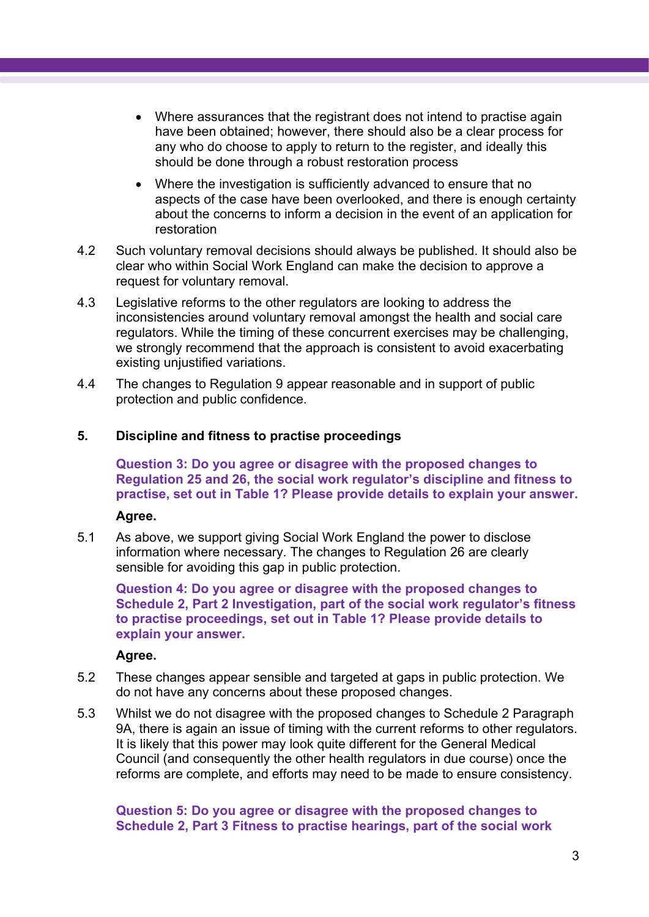- Where assurances that the registrant does not intend to practise again have been obtained; however, there should also be a clear process for any who do choose to apply to return to the register, and ideally this should be done through a robust restoration process
- Where the investigation is sufficiently advanced to ensure that no aspects of the case have been overlooked, and there is enough certainty about the concerns to inform a decision in the event of an application for restoration
- 4.2 Such voluntary removal decisions should always be published. It should also be clear who within Social Work England can make the decision to approve a request for voluntary removal.
- 4.3 Legislative reforms to the other regulators are looking to address the inconsistencies around voluntary removal amongst the health and social care regulators. While the timing of these concurrent exercises may be challenging, we strongly recommend that the approach is consistent to avoid exacerbating existing unjustified variations.
- 4.4 The changes to Regulation 9 appear reasonable and in support of public protection and public confidence.

## **5. Discipline and fitness to practise proceedings**

**Question 3: Do you agree or disagree with the proposed changes to Regulation 25 and 26, the social work regulator's discipline and fitness to practise, set out in Table 1? Please provide details to explain your answer.**

### **Agree.**

5.1 As above, we support giving Social Work England the power to disclose information where necessary. The changes to Regulation 26 are clearly sensible for avoiding this gap in public protection.

**Question 4: Do you agree or disagree with the proposed changes to Schedule 2, Part 2 Investigation, part of the social work regulator's fitness to practise proceedings, set out in Table 1? Please provide details to explain your answer.**

### **Agree.**

- 5.2 These changes appear sensible and targeted at gaps in public protection. We do not have any concerns about these proposed changes.
- 5.3 Whilst we do not disagree with the proposed changes to Schedule 2 Paragraph 9A, there is again an issue of timing with the current reforms to other regulators. It is likely that this power may look quite different for the General Medical Council (and consequently the other health regulators in due course) once the reforms are complete, and efforts may need to be made to ensure consistency.

### **Question 5: Do you agree or disagree with the proposed changes to Schedule 2, Part 3 Fitness to practise hearings, part of the social work**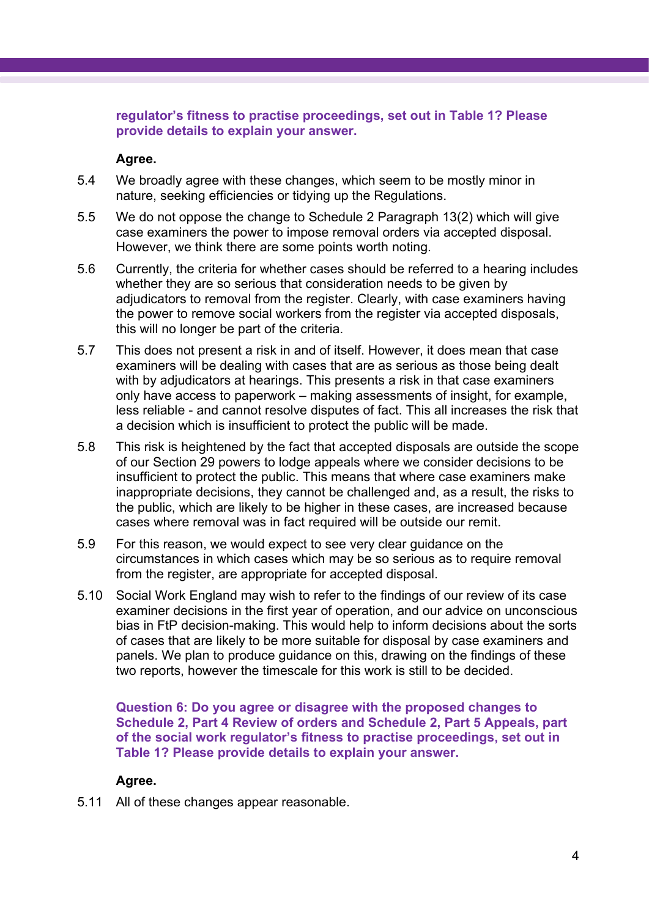### **regulator's fitness to practise proceedings, set out in Table 1? Please provide details to explain your answer.**

### **Agree.**

- 5.4 We broadly agree with these changes, which seem to be mostly minor in nature, seeking efficiencies or tidying up the Regulations.
- 5.5 We do not oppose the change to Schedule 2 Paragraph 13(2) which will give case examiners the power to impose removal orders via accepted disposal. However, we think there are some points worth noting.
- 5.6 Currently, the criteria for whether cases should be referred to a hearing includes whether they are so serious that consideration needs to be given by adjudicators to removal from the register. Clearly, with case examiners having the power to remove social workers from the register via accepted disposals, this will no longer be part of the criteria.
- 5.7 This does not present a risk in and of itself. However, it does mean that case examiners will be dealing with cases that are as serious as those being dealt with by adjudicators at hearings. This presents a risk in that case examiners only have access to paperwork – making assessments of insight, for example, less reliable - and cannot resolve disputes of fact. This all increases the risk that a decision which is insufficient to protect the public will be made.
- 5.8 This risk is heightened by the fact that accepted disposals are outside the scope of our Section 29 powers to lodge appeals where we consider decisions to be insufficient to protect the public. This means that where case examiners make inappropriate decisions, they cannot be challenged and, as a result, the risks to the public, which are likely to be higher in these cases, are increased because cases where removal was in fact required will be outside our remit.
- 5.9 For this reason, we would expect to see very clear guidance on the circumstances in which cases which may be so serious as to require removal from the register, are appropriate for accepted disposal.
- 5.10 Social Work England may wish to refer to the findings of our review of its case examiner decisions in the first year of operation, and our advice on unconscious bias in FtP decision-making. This would help to inform decisions about the sorts of cases that are likely to be more suitable for disposal by case examiners and panels. We plan to produce guidance on this, drawing on the findings of these two reports, however the timescale for this work is still to be decided.

**Question 6: Do you agree or disagree with the proposed changes to Schedule 2, Part 4 Review of orders and Schedule 2, Part 5 Appeals, part of the social work regulator's fitness to practise proceedings, set out in Table 1? Please provide details to explain your answer.**

# **Agree.**

5.11 All of these changes appear reasonable.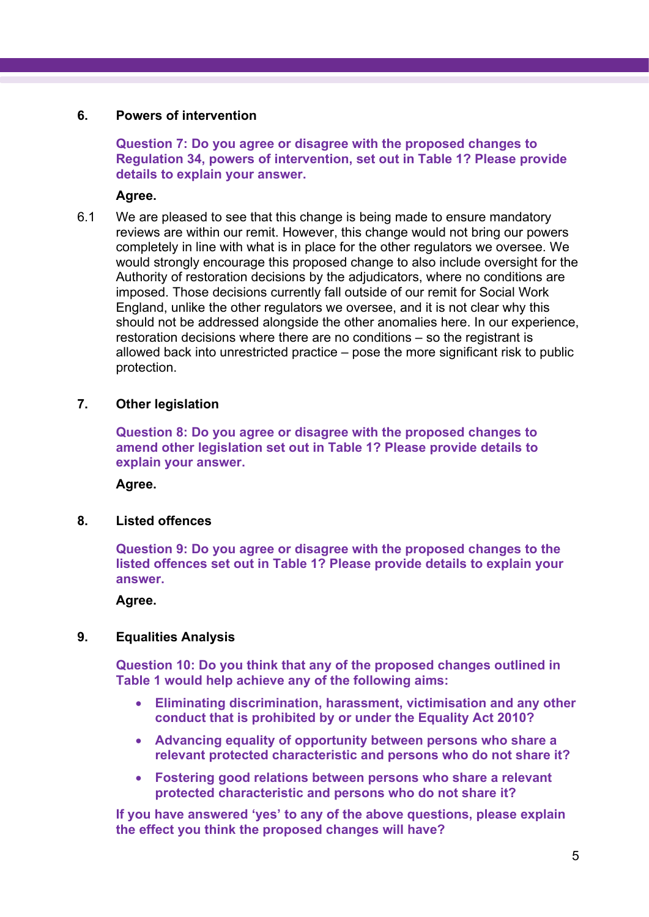#### **6. Powers of intervention**

**Question 7: Do you agree or disagree with the proposed changes to Regulation 34, powers of intervention, set out in Table 1? Please provide details to explain your answer.**

**Agree.**

6.1 We are pleased to see that this change is being made to ensure mandatory reviews are within our remit. However, this change would not bring our powers completely in line with what is in place for the other regulators we oversee. We would strongly encourage this proposed change to also include oversight for the Authority of restoration decisions by the adjudicators, where no conditions are imposed. Those decisions currently fall outside of our remit for Social Work England, unlike the other regulators we oversee, and it is not clear why this should not be addressed alongside the other anomalies here. In our experience, restoration decisions where there are no conditions – so the registrant is allowed back into unrestricted practice – pose the more significant risk to public protection.

#### **7. Other legislation**

**Question 8: Do you agree or disagree with the proposed changes to amend other legislation set out in Table 1? Please provide details to explain your answer.**

**Agree.**

**8. Listed offences**

**Question 9: Do you agree or disagree with the proposed changes to the listed offences set out in Table 1? Please provide details to explain your answer.**

**Agree.**

### **9. Equalities Analysis**

**Question 10: Do you think that any of the proposed changes outlined in Table 1 would help achieve any of the following aims:** 

- **Eliminating discrimination, harassment, victimisation and any other conduct that is prohibited by or under the Equality Act 2010?**
- **Advancing equality of opportunity between persons who share a relevant protected characteristic and persons who do not share it?**
- **Fostering good relations between persons who share a relevant protected characteristic and persons who do not share it?**

**If you have answered 'yes' to any of the above questions, please explain the effect you think the proposed changes will have?**